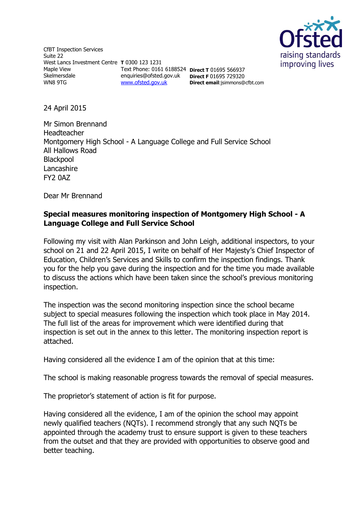

CfBT Inspection Services Suite 22 West Lancs Investment Centre **T** 0300 123 1231 Maple View Skelmersdale WN8 9TG

Text Phone: 0161 6188524 **Direct T** 01695 566937 enquiries@ofsted.gov.uk **Direct F** 01695 729320 [www.ofsted.gov.uk](http://www.ofsted.gov.uk/)

**Direct email**:jsimmons@cfbt.com

24 April 2015

Mr Simon Brennand Headteacher Montgomery High School - A Language College and Full Service School All Hallows Road **Blackpool** Lancashire FY2 0AZ

Dear Mr Brennand

# **Special measures monitoring inspection of Montgomery High School - A Language College and Full Service School**

Following my visit with Alan Parkinson and John Leigh, additional inspectors, to your school on 21 and 22 April 2015, I write on behalf of Her Majesty's Chief Inspector of Education, Children's Services and Skills to confirm the inspection findings. Thank you for the help you gave during the inspection and for the time you made available to discuss the actions which have been taken since the school's previous monitoring inspection.

The inspection was the second monitoring inspection since the school became subject to special measures following the inspection which took place in May 2014. The full list of the areas for improvement which were identified during that inspection is set out in the annex to this letter. The monitoring inspection report is attached.

Having considered all the evidence I am of the opinion that at this time:

The school is making reasonable progress towards the removal of special measures.

The proprietor's statement of action is fit for purpose.

Having considered all the evidence, I am of the opinion the school may appoint newly qualified teachers (NQTs). I recommend strongly that any such NQTs be appointed through the academy trust to ensure support is given to these teachers from the outset and that they are provided with opportunities to observe good and better teaching.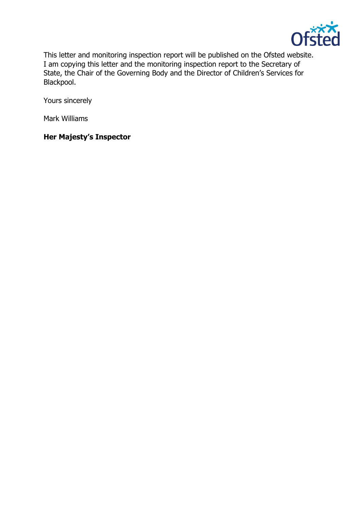

This letter and monitoring inspection report will be published on the Ofsted website. I am copying this letter and the monitoring inspection report to the Secretary of State, the Chair of the Governing Body and the Director of Children's Services for Blackpool.

Yours sincerely

Mark Williams

# **Her Majesty's Inspector**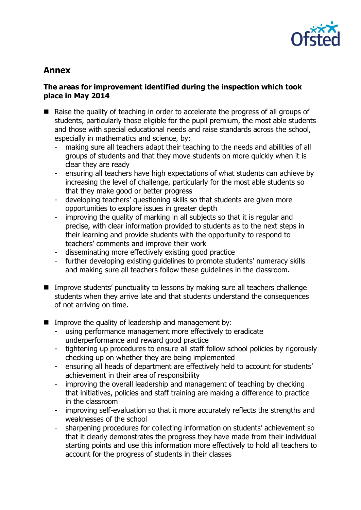

# **Annex**

#### **The areas for improvement identified during the inspection which took place in May 2014**

- Raise the quality of teaching in order to accelerate the progress of all groups of students, particularly those eligible for the pupil premium, the most able students and those with special educational needs and raise standards across the school, especially in mathematics and science, by:
	- making sure all teachers adapt their teaching to the needs and abilities of all groups of students and that they move students on more quickly when it is clear they are ready
	- ensuring all teachers have high expectations of what students can achieve by increasing the level of challenge, particularly for the most able students so that they make good or better progress
	- developing teachers' questioning skills so that students are given more opportunities to explore issues in greater depth
	- improving the quality of marking in all subjects so that it is regular and precise, with clear information provided to students as to the next steps in their learning and provide students with the opportunity to respond to teachers' comments and improve their work
	- disseminating more effectively existing good practice
	- further developing existing guidelines to promote students' numeracy skills and making sure all teachers follow these guidelines in the classroom.
- **IMPROVE STARES IMPTE Inc.** Improve students' punctuality to lessons by making sure all teachers challenge students when they arrive late and that students understand the consequences of not arriving on time.
- Improve the quality of leadership and management by:
	- using performance management more effectively to eradicate underperformance and reward good practice
	- tightening up procedures to ensure all staff follow school policies by rigorously checking up on whether they are being implemented
	- ensuring all heads of department are effectively held to account for students' achievement in their area of responsibility
	- improving the overall leadership and management of teaching by checking that initiatives, policies and staff training are making a difference to practice in the classroom
	- improving self-evaluation so that it more accurately reflects the strengths and weaknesses of the school
	- sharpening procedures for collecting information on students' achievement so that it clearly demonstrates the progress they have made from their individual starting points and use this information more effectively to hold all teachers to account for the progress of students in their classes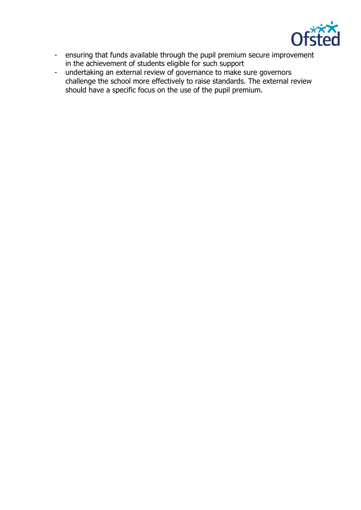

- ensuring that funds available through the pupil premium secure improvement in the achievement of students eligible for such support
- undertaking an external review of governance to make sure governors challenge the school more effectively to raise standards. The external review should have a specific focus on the use of the pupil premium.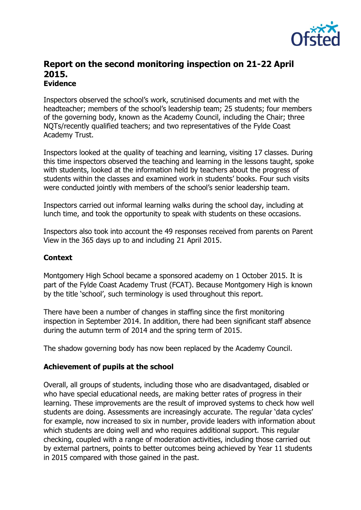

# **Report on the second monitoring inspection on 21-22 April 2015. Evidence**

Inspectors observed the school's work, scrutinised documents and met with the headteacher; members of the school's leadership team; 25 students; four members of the governing body, known as the Academy Council, including the Chair; three NQTs/recently qualified teachers; and two representatives of the Fylde Coast Academy Trust.

Inspectors looked at the quality of teaching and learning, visiting 17 classes. During this time inspectors observed the teaching and learning in the lessons taught, spoke with students, looked at the information held by teachers about the progress of students within the classes and examined work in students' books. Four such visits were conducted jointly with members of the school's senior leadership team.

Inspectors carried out informal learning walks during the school day, including at lunch time, and took the opportunity to speak with students on these occasions.

Inspectors also took into account the 49 responses received from parents on Parent View in the 365 days up to and including 21 April 2015.

#### **Context**

Montgomery High School became a sponsored academy on 1 October 2015. It is part of the Fylde Coast Academy Trust (FCAT). Because Montgomery High is known by the title 'school', such terminology is used throughout this report.

There have been a number of changes in staffing since the first monitoring inspection in September 2014. In addition, there had been significant staff absence during the autumn term of 2014 and the spring term of 2015.

The shadow governing body has now been replaced by the Academy Council.

#### **Achievement of pupils at the school**

Overall, all groups of students, including those who are disadvantaged, disabled or who have special educational needs, are making better rates of progress in their learning. These improvements are the result of improved systems to check how well students are doing. Assessments are increasingly accurate. The regular 'data cycles' for example, now increased to six in number, provide leaders with information about which students are doing well and who requires additional support. This regular checking, coupled with a range of moderation activities, including those carried out by external partners, points to better outcomes being achieved by Year 11 students in 2015 compared with those gained in the past.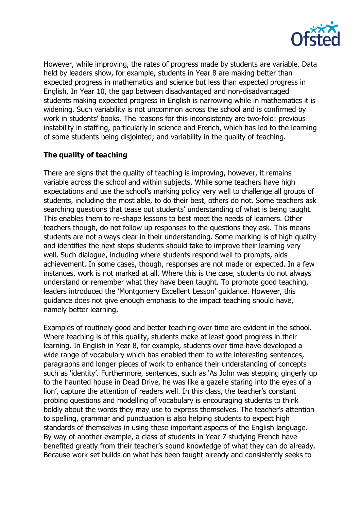

However, while improving, the rates of progress made by students are variable. Data held by leaders show, for example, students in Year 8 are making better than expected progress in mathematics and science but less than expected progress in English. In Year 10, the gap between disadvantaged and non-disadvantaged students making expected progress in English is narrowing while in mathematics it is widening. Such variability is not uncommon across the school and is confirmed by work in students' books. The reasons for this inconsistency are two-fold: previous instability in staffing, particularly in science and French, which has led to the learning of some students being disjointed; and variability in the quality of teaching.

# **The quality of teaching**

There are signs that the quality of teaching is improving, however, it remains variable across the school and within subjects. While some teachers have high expectations and use the school's marking policy very well to challenge all groups of students, including the most able, to do their best, others do not. Some teachers ask searching questions that tease out students' understanding of what is being taught. This enables them to re-shape lessons to best meet the needs of learners. Other teachers though, do not follow up responses to the questions they ask. This means students are not always clear in their understanding. Some marking is of high quality and identifies the next steps students should take to improve their learning very well. Such dialogue, including where students respond well to prompts, aids achievement. In some cases, though, responses are not made or expected. In a few instances, work is not marked at all. Where this is the case, students do not always understand or remember what they have been taught. To promote good teaching, leaders introduced the 'Montgomery Excellent Lesson' guidance. However, this guidance does not give enough emphasis to the impact teaching should have, namely better learning.

Examples of routinely good and better teaching over time are evident in the school. Where teaching is of this quality, students make at least good progress in their learning. In English in Year 8, for example, students over time have developed a wide range of vocabulary which has enabled them to write interesting sentences, paragraphs and longer pieces of work to enhance their understanding of concepts such as 'identity'. Furthermore, sentences, such as 'As John was stepping gingerly up to the haunted house in Dead Drive, he was like a gazelle staring into the eyes of a lion', capture the attention of readers well. In this class, the teacher's constant probing questions and modelling of vocabulary is encouraging students to think boldly about the words they may use to express themselves. The teacher's attention to spelling, grammar and punctuation is also helping students to expect high standards of themselves in using these important aspects of the English language. By way of another example, a class of students in Year 7 studying French have benefited greatly from their teacher's sound knowledge of what they can do already. Because work set builds on what has been taught already and consistently seeks to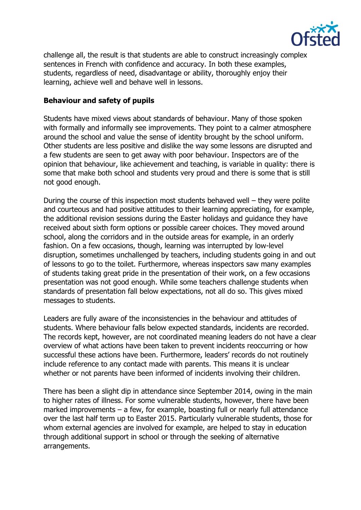

challenge all, the result is that students are able to construct increasingly complex sentences in French with confidence and accuracy. In both these examples, students, regardless of need, disadvantage or ability, thoroughly enjoy their learning, achieve well and behave well in lessons.

#### **Behaviour and safety of pupils**

Students have mixed views about standards of behaviour. Many of those spoken with formally and informally see improvements. They point to a calmer atmosphere around the school and value the sense of identity brought by the school uniform. Other students are less positive and dislike the way some lessons are disrupted and a few students are seen to get away with poor behaviour. Inspectors are of the opinion that behaviour, like achievement and teaching, is variable in quality: there is some that make both school and students very proud and there is some that is still not good enough.

During the course of this inspection most students behaved well – they were polite and courteous and had positive attitudes to their learning appreciating, for example, the additional revision sessions during the Easter holidays and guidance they have received about sixth form options or possible career choices. They moved around school, along the corridors and in the outside areas for example, in an orderly fashion. On a few occasions, though, learning was interrupted by low-level disruption, sometimes unchallenged by teachers, including students going in and out of lessons to go to the toilet. Furthermore, whereas inspectors saw many examples of students taking great pride in the presentation of their work, on a few occasions presentation was not good enough. While some teachers challenge students when standards of presentation fall below expectations, not all do so. This gives mixed messages to students.

Leaders are fully aware of the inconsistencies in the behaviour and attitudes of students. Where behaviour falls below expected standards, incidents are recorded. The records kept, however, are not coordinated meaning leaders do not have a clear overview of what actions have been taken to prevent incidents reoccurring or how successful these actions have been. Furthermore, leaders' records do not routinely include reference to any contact made with parents. This means it is unclear whether or not parents have been informed of incidents involving their children.

There has been a slight dip in attendance since September 2014, owing in the main to higher rates of illness. For some vulnerable students, however, there have been marked improvements – a few, for example, boasting full or nearly full attendance over the last half term up to Easter 2015. Particularly vulnerable students, those for whom external agencies are involved for example, are helped to stay in education through additional support in school or through the seeking of alternative arrangements.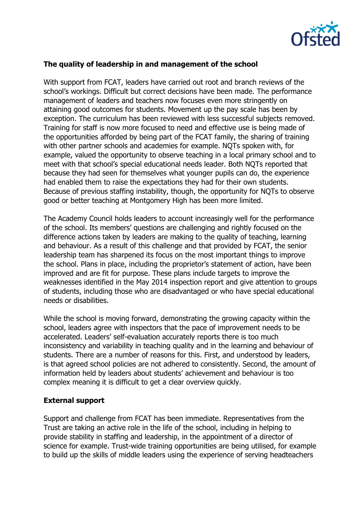

## **The quality of leadership in and management of the school**

With support from FCAT, leaders have carried out root and branch reviews of the school's workings. Difficult but correct decisions have been made. The performance management of leaders and teachers now focuses even more stringently on attaining good outcomes for students. Movement up the pay scale has been by exception. The curriculum has been reviewed with less successful subjects removed. Training for staff is now more focused to need and effective use is being made of the opportunities afforded by being part of the FCAT family, the sharing of training with other partner schools and academies for example. NQTs spoken with, for example, valued the opportunity to observe teaching in a local primary school and to meet with that school's special educational needs leader. Both NQTs reported that because they had seen for themselves what younger pupils can do, the experience had enabled them to raise the expectations they had for their own students. Because of previous staffing instability, though, the opportunity for NQTs to observe good or better teaching at Montgomery High has been more limited.

The Academy Council holds leaders to account increasingly well for the performance of the school. Its members' questions are challenging and rightly focused on the difference actions taken by leaders are making to the quality of teaching, learning and behaviour. As a result of this challenge and that provided by FCAT, the senior leadership team has sharpened its focus on the most important things to improve the school. Plans in place, including the proprietor's statement of action, have been improved and are fit for purpose. These plans include targets to improve the weaknesses identified in the May 2014 inspection report and give attention to groups of students, including those who are disadvantaged or who have special educational needs or disabilities.

While the school is moving forward, demonstrating the growing capacity within the school, leaders agree with inspectors that the pace of improvement needs to be accelerated. Leaders' self-evaluation accurately reports there is too much inconsistency and variability in teaching quality and in the learning and behaviour of students. There are a number of reasons for this. First, and understood by leaders, is that agreed school policies are not adhered to consistently. Second, the amount of information held by leaders about students' achievement and behaviour is too complex meaning it is difficult to get a clear overview quickly.

#### **External support**

Support and challenge from FCAT has been immediate. Representatives from the Trust are taking an active role in the life of the school, including in helping to provide stability in staffing and leadership, in the appointment of a director of science for example. Trust-wide training opportunities are being utilised, for example to build up the skills of middle leaders using the experience of serving headteachers